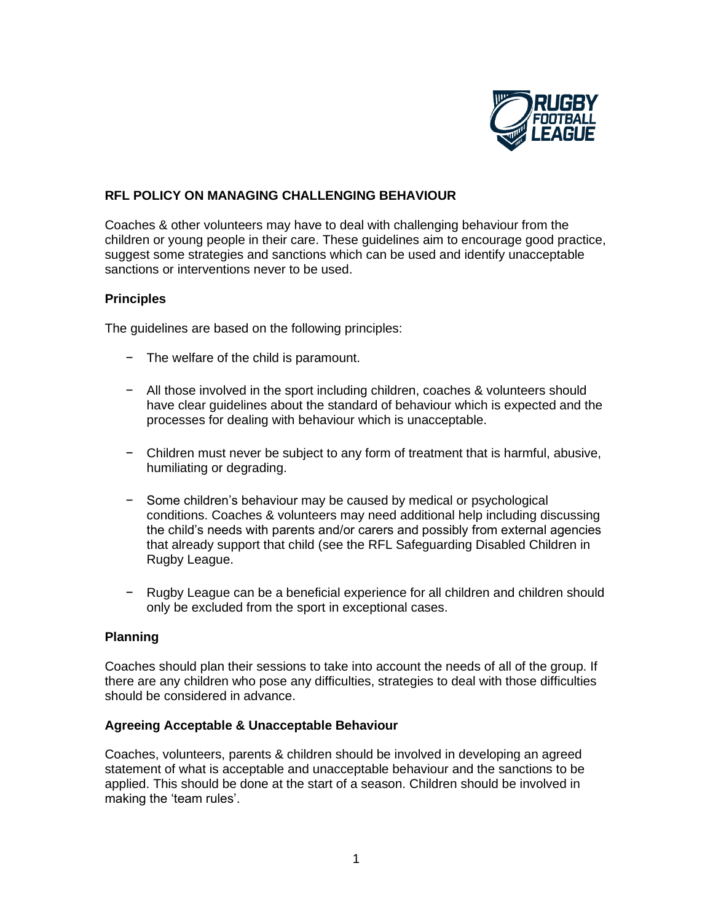

# **RFL POLICY ON MANAGING CHALLENGING BEHAVIOUR**

Coaches & other volunteers may have to deal with challenging behaviour from the children or young people in their care. These guidelines aim to encourage good practice, suggest some strategies and sanctions which can be used and identify unacceptable sanctions or interventions never to be used.

#### **Principles**

The guidelines are based on the following principles:

- − The welfare of the child is paramount.
- − All those involved in the sport including children, coaches & volunteers should have clear guidelines about the standard of behaviour which is expected and the processes for dealing with behaviour which is unacceptable.
- − Children must never be subject to any form of treatment that is harmful, abusive, humiliating or degrading.
- − Some children's behaviour may be caused by medical or psychological conditions. Coaches & volunteers may need additional help including discussing the child's needs with parents and/or carers and possibly from external agencies that already support that child (see the RFL Safeguarding Disabled Children in Rugby League.
- − Rugby League can be a beneficial experience for all children and children should only be excluded from the sport in exceptional cases.

## **Planning**

Coaches should plan their sessions to take into account the needs of all of the group. If there are any children who pose any difficulties, strategies to deal with those difficulties should be considered in advance.

## **Agreeing Acceptable & Unacceptable Behaviour**

Coaches, volunteers, parents & children should be involved in developing an agreed statement of what is acceptable and unacceptable behaviour and the sanctions to be applied. This should be done at the start of a season. Children should be involved in making the 'team rules'.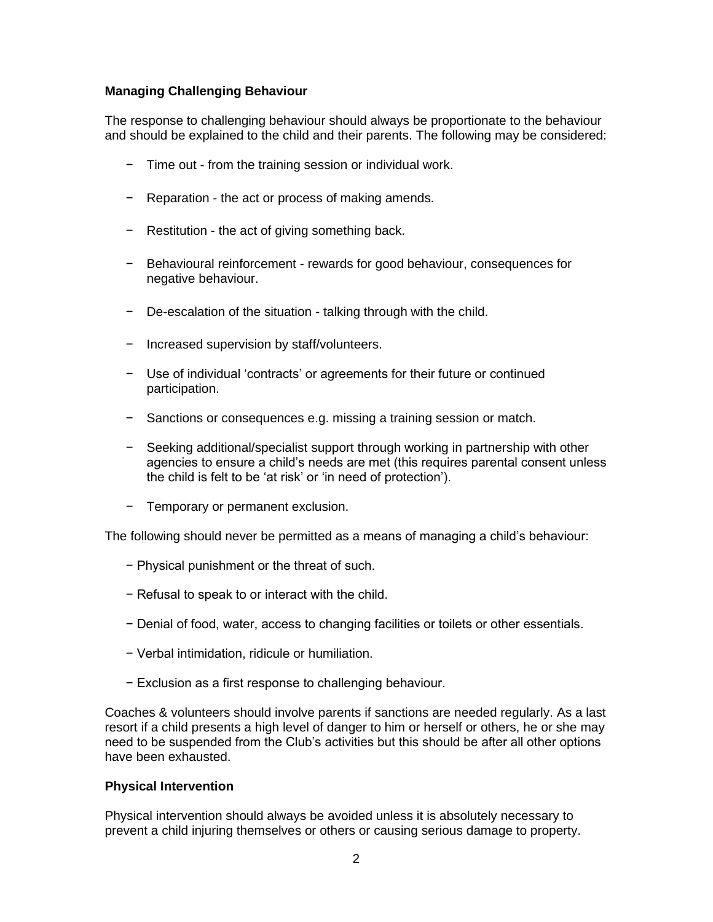# **Managing Challenging Behaviour**

The response to challenging behaviour should always be proportionate to the behaviour and should be explained to the child and their parents. The following may be considered:

- − Time out from the training session or individual work.
- − Reparation the act or process of making amends.
- − Restitution the act of giving something back.
- − Behavioural reinforcement rewards for good behaviour, consequences for negative behaviour.
- − De-escalation of the situation talking through with the child.
- − Increased supervision by staff/volunteers.
- − Use of individual 'contracts' or agreements for their future or continued participation.
- − Sanctions or consequences e.g. missing a training session or match.
- − Seeking additional/specialist support through working in partnership with other agencies to ensure a child's needs are met (this requires parental consent unless the child is felt to be 'at risk' or 'in need of protection').
- − Temporary or permanent exclusion.

The following should never be permitted as a means of managing a child's behaviour:

- − Physical punishment or the threat of such.
- − Refusal to speak to or interact with the child.
- − Denial of food, water, access to changing facilities or toilets or other essentials.
- − Verbal intimidation, ridicule or humiliation.
- − Exclusion as a first response to challenging behaviour.

Coaches & volunteers should involve parents if sanctions are needed regularly. As a last resort if a child presents a high level of danger to him or herself or others, he or she may need to be suspended from the Club's activities but this should be after all other options have been exhausted.

#### **Physical Intervention**

Physical intervention should always be avoided unless it is absolutely necessary to prevent a child injuring themselves or others or causing serious damage to property.